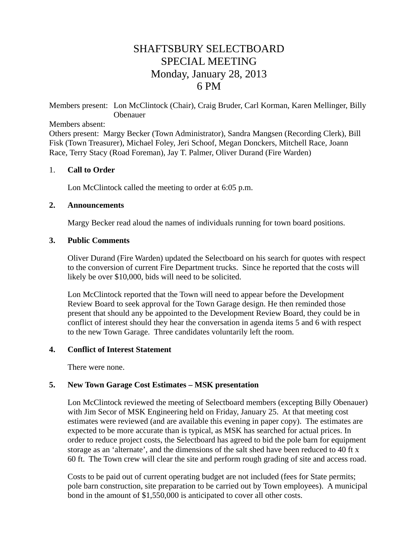# SHAFTSBURY SELECTBOARD SPECIAL MEETING Monday, January 28, 2013 6 PM

Members present: Lon McClintock (Chair), Craig Bruder, Carl Korman, Karen Mellinger, Billy Obenauer

Members absent:

Others present: Margy Becker (Town Administrator), Sandra Mangsen (Recording Clerk), Bill Fisk (Town Treasurer), Michael Foley, Jeri Schoof, Megan Donckers, Mitchell Race, Joann Race*,* Terry Stacy (Road Foreman), Jay T. Palmer, Oliver Durand (Fire Warden)

### 1. **Call to Order**

Lon McClintock called the meeting to order at 6:05 p.m.

#### **2. Announcements**

Margy Becker read aloud the names of individuals running for town board positions.

### **3. Public Comments**

Oliver Durand (Fire Warden) updated the Selectboard on his search for quotes with respect to the conversion of current Fire Department trucks. Since he reported that the costs will likely be over \$10,000, bids will need to be solicited.

Lon McClintock reported that the Town will need to appear before the Development Review Board to seek approval for the Town Garage design. He then reminded those present that should any be appointed to the Development Review Board, they could be in conflict of interest should they hear the conversation in agenda items 5 and 6 with respect to the new Town Garage. Three candidates voluntarily left the room.

### **4. Conflict of Interest Statement**

There were none.

### **5. New Town Garage Cost Estimates – MSK presentation**

Lon McClintock reviewed the meeting of Selectboard members (excepting Billy Obenauer) with Jim Secor of MSK Engineering held on Friday, January 25. At that meeting cost estimates were reviewed (and are available this evening in paper copy). The estimates are expected to be more accurate than is typical, as MSK has searched for actual prices. In order to reduce project costs, the Selectboard has agreed to bid the pole barn for equipment storage as an 'alternate', and the dimensions of the salt shed have been reduced to 40 ft x 60 ft. The Town crew will clear the site and perform rough grading of site and access road.

Costs to be paid out of current operating budget are not included (fees for State permits; pole barn construction, site preparation to be carried out by Town employees). A municipal bond in the amount of \$1,550,000 is anticipated to cover all other costs.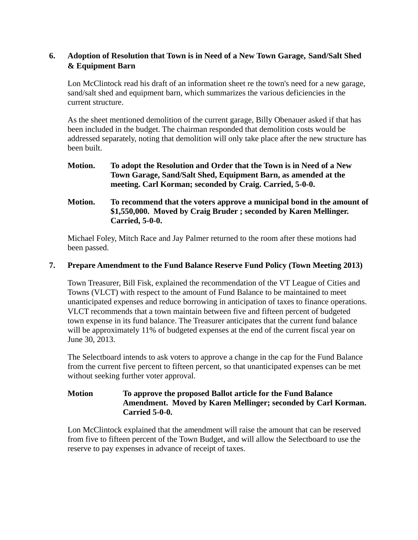# **6. Adoption of Resolution that Town is in Need of a New Town Garage, Sand/Salt Shed & Equipment Barn**

Lon McClintock read his draft of an information sheet re the town's need for a new garage, sand/salt shed and equipment barn, which summarizes the various deficiencies in the current structure.

As the sheet mentioned demolition of the current garage, Billy Obenauer asked if that has been included in the budget. The chairman responded that demolition costs would be addressed separately, noting that demolition will only take place after the new structure has been built.

- **Motion. To adopt the Resolution and Order that the Town is in Need of a New Town Garage, Sand/Salt Shed, Equipment Barn, as amended at the meeting. Carl Korman; seconded by Craig. Carried, 5-0-0.**
- **Motion. To recommend that the voters approve a municipal bond in the amount of \$1,550,000. Moved by Craig Bruder ; seconded by Karen Mellinger. Carried, 5-0-0.**

Michael Foley, Mitch Race and Jay Palmer returned to the room after these motions had been passed.

### **7. Prepare Amendment to the Fund Balance Reserve Fund Policy (Town Meeting 2013)**

Town Treasurer, Bill Fisk, explained the recommendation of the VT League of Cities and Towns (VLCT) with respect to the amount of Fund Balance to be maintained to meet unanticipated expenses and reduce borrowing in anticipation of taxes to finance operations. VLCT recommends that a town maintain between five and fifteen percent of budgeted town expense in its fund balance. The Treasurer anticipates that the current fund balance will be approximately 11% of budgeted expenses at the end of the current fiscal year on June 30, 2013.

The Selectboard intends to ask voters to approve a change in the cap for the Fund Balance from the current five percent to fifteen percent, so that unanticipated expenses can be met without seeking further voter approval.

# **Motion To approve the proposed Ballot article for the Fund Balance Amendment. Moved by Karen Mellinger; seconded by Carl Korman. Carried 5-0-0.**

Lon McClintock explained that the amendment will raise the amount that can be reserved from five to fifteen percent of the Town Budget, and will allow the Selectboard to use the reserve to pay expenses in advance of receipt of taxes.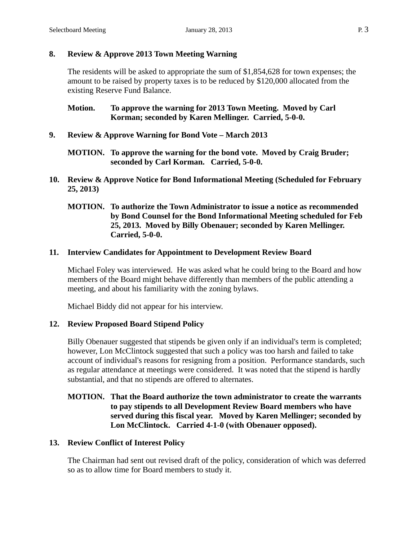# **8. Review & Approve 2013 Town Meeting Warning**

The residents will be asked to appropriate the sum of \$1,854,628 for town expenses; the amount to be raised by property taxes is to be reduced by \$120,000 allocated from the existing Reserve Fund Balance.

**Motion. To approve the warning for 2013 Town Meeting. Moved by Carl Korman; seconded by Karen Mellinger. Carried, 5-0-0.**

**9. Review & Approve Warning for Bond Vote – March 2013**

# **MOTION. To approve the warning for the bond vote. Moved by Craig Bruder; seconded by Carl Korman. Carried, 5-0-0.**

**10. Review & Approve Notice for Bond Informational Meeting (Scheduled for February 25, 2013)**

## **MOTION. To authorize the Town Administrator to issue a notice as recommended by Bond Counsel for the Bond Informational Meeting scheduled for Feb 25, 2013. Moved by Billy Obenauer; seconded by Karen Mellinger. Carried, 5-0-0.**

# **11. Interview Candidates for Appointment to Development Review Board**

Michael Foley was interviewed. He was asked what he could bring to the Board and how members of the Board might behave differently than members of the public attending a meeting, and about his familiarity with the zoning bylaws.

Michael Biddy did not appear for his interview.

# **12. Review Proposed Board Stipend Policy**

Billy Obenauer suggested that stipends be given only if an individual's term is completed; however, Lon McClintock suggested that such a policy was too harsh and failed to take account of individual's reasons for resigning from a position. Performance standards, such as regular attendance at meetings were considered. It was noted that the stipend is hardly substantial, and that no stipends are offered to alternates.

# **MOTION. That the Board authorize the town administrator to create the warrants to pay stipends to all Development Review Board members who have served during this fiscal year. Moved by Karen Mellinger; seconded by Lon McClintock. Carried 4-1-0 (with Obenauer opposed).**

# **13. Review Conflict of Interest Policy**

The Chairman had sent out revised draft of the policy, consideration of which was deferred so as to allow time for Board members to study it.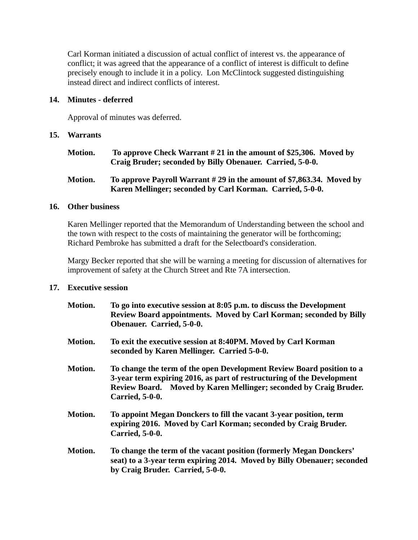Carl Korman initiated a discussion of actual conflict of interest vs. the appearance of conflict; it was agreed that the appearance of a conflict of interest is difficult to define precisely enough to include it in a policy. Lon McClintock suggested distinguishing instead direct and indirect conflicts of interest.

### **14. Minutes - deferred**

Approval of minutes was deferred.

### **15. Warrants**

**Motion. To approve Check Warrant # 21 in the amount of \$25,306. Moved by Craig Bruder; seconded by Billy Obenauer. Carried, 5-0-0.**

## **Motion. To approve Payroll Warrant # 29 in the amount of \$7,863.34. Moved by Karen Mellinger; seconded by Carl Korman. Carried, 5-0-0.**

### **16. Other business**

Karen Mellinger reported that the Memorandum of Understanding between the school and the town with respect to the costs of maintaining the generator will be forthcoming; Richard Pembroke has submitted a draft for the Selectboard's consideration.

Margy Becker reported that she will be warning a meeting for discussion of alternatives for improvement of safety at the Church Street and Rte 7A intersection.

### **17. Executive session**

| Motion. | To go into executive session at 8:05 p.m. to discuss the Development<br>Review Board appointments. Moved by Carl Korman; seconded by Billy<br>Obenauer. Carried, 5-0-0.                                                                        |
|---------|------------------------------------------------------------------------------------------------------------------------------------------------------------------------------------------------------------------------------------------------|
| Motion. | To exit the executive session at 8:40PM. Moved by Carl Korman<br>seconded by Karen Mellinger. Carried 5-0-0.                                                                                                                                   |
| Motion. | To change the term of the open Development Review Board position to a<br>3-year term expiring 2016, as part of restructuring of the Development<br>Review Board. Moved by Karen Mellinger; seconded by Craig Bruder.<br><b>Carried, 5-0-0.</b> |
| Motion. | To appoint Megan Donckers to fill the vacant 3-year position, term<br>expiring 2016. Moved by Carl Korman; seconded by Craig Bruder.<br><b>Carried, 5-0-0.</b>                                                                                 |
| Motion. | To change the term of the vacant position (formerly Megan Donckers'<br>seat) to a 3-year term expiring 2014. Moved by Billy Obenauer; seconded<br>by Craig Bruder. Carried, 5-0-0.                                                             |